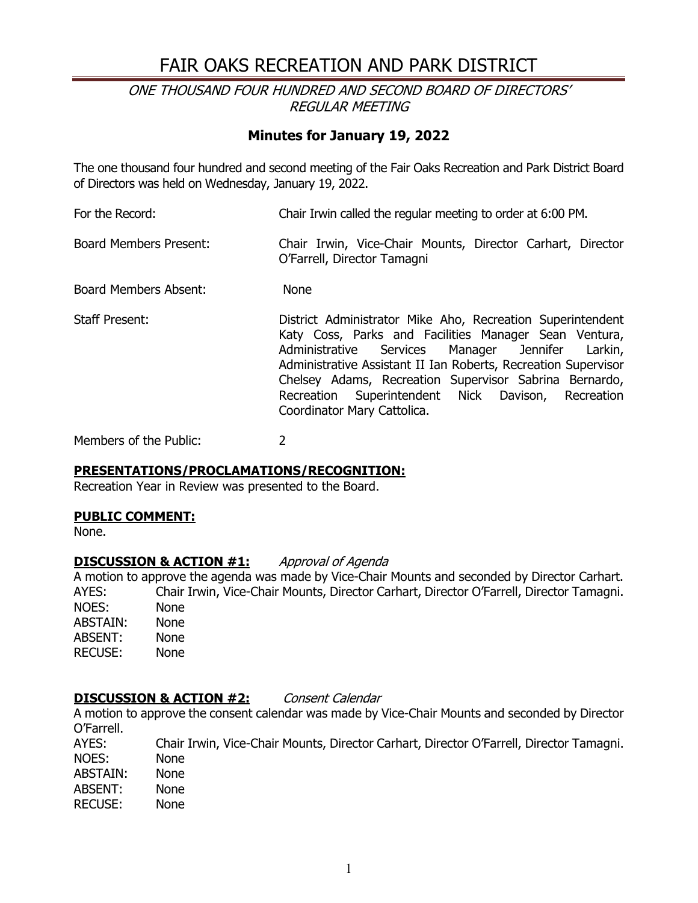# FAIR OAKS RECREATION AND PARK DISTRICT

ONE THOUSAND FOUR HUNDRED AND SECOND BOARD OF DIRECTORS' REGULAR MEETING

## **Minutes for January 19, 2022**

The one thousand four hundred and second meeting of the Fair Oaks Recreation and Park District Board of Directors was held on Wednesday, January 19, 2022.

For the Record: Chair Irwin called the regular meeting to order at 6:00 PM. Board Members Present: Chair Irwin, Vice-Chair Mounts, Director Carhart, Director O'Farrell, Director Tamagni Board Members Absent: None Staff Present: District Administrator Mike Aho, Recreation Superintendent Katy Coss, Parks and Facilities Manager Sean Ventura, Administrative Services Manager Jennifer Larkin, Administrative Assistant II Ian Roberts, Recreation Supervisor Chelsey Adams, Recreation Supervisor Sabrina Bernardo, Recreation Superintendent Nick Davison, Recreation Coordinator Mary Cattolica.

Members of the Public: 2

### **PRESENTATIONS/PROCLAMATIONS/RECOGNITION:**

Recreation Year in Review was presented to the Board.

### **PUBLIC COMMENT:**

None.

### **DISCUSSION & ACTION #1:** Approval of Agenda

A motion to approve the agenda was made by Vice-Chair Mounts and seconded by Director Carhart. AYES: Chair Irwin, Vice-Chair Mounts, Director Carhart, Director O'Farrell, Director Tamagni. NOES: None<br>ABSTAIN: None ABSTAIN: ABSENT: None RECUSE: None

### **DISCUSSION & ACTION #2:** Consent Calendar

A motion to approve the consent calendar was made by Vice-Chair Mounts and seconded by Director O'Farrell.

AYES: Chair Irwin, Vice-Chair Mounts, Director Carhart, Director O'Farrell, Director Tamagni. NOES: None<br>ABSTAIN: None ABSTAIN: ABSENT: None<br>RECUSE: None **RECUSE:**